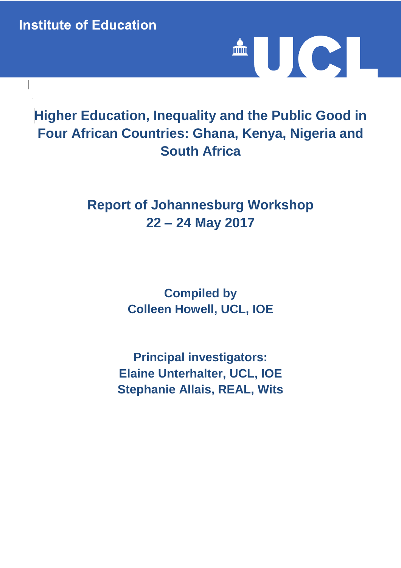**Institute of Education** 



# **Higher Education, Inequality and the Public Good in Four African Countries: Ghana, Kenya, Nigeria and South Africa**

# **Report of Johannesburg Workshop 22 – 24 May 2017**

**Compiled by Colleen Howell, UCL, IOE**

**Principal investigators: Elaine Unterhalter, UCL, IOE Stephanie Allais, REAL, Wits**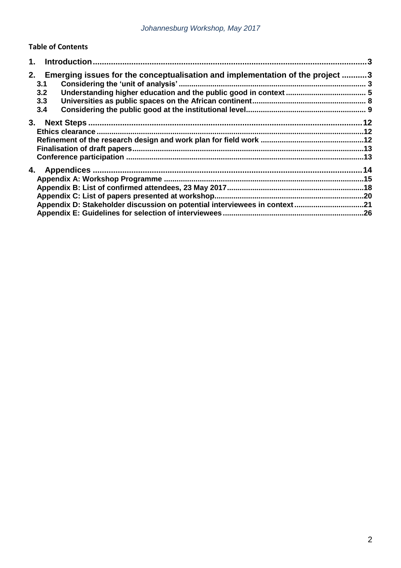### **Table of Contents**

|                                                                                                                 | 3 |
|-----------------------------------------------------------------------------------------------------------------|---|
| Emerging issues for the conceptualisation and implementation of the project 3<br>2.<br>3.1<br>3.2<br>3.3<br>3.4 |   |
| 3.                                                                                                              |   |
| 4.<br>Appendix D: Stakeholder discussion on potential interviewees in context21                                 |   |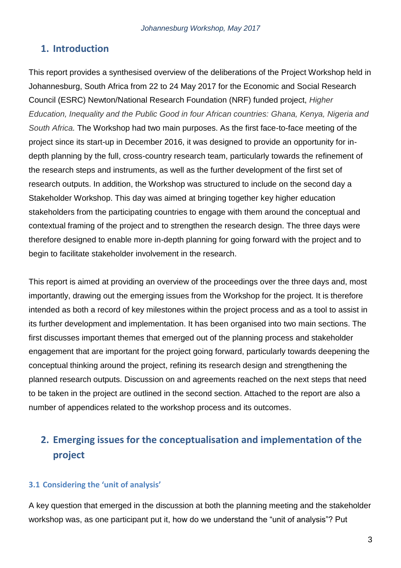# **1. Introduction**

This report provides a synthesised overview of the deliberations of the Project Workshop held in Johannesburg, South Africa from 22 to 24 May 2017 for the Economic and Social Research Council (ESRC) Newton/National Research Foundation (NRF) funded project, *Higher Education, Inequality and the Public Good in four African countries: Ghana, Kenya, Nigeria and South Africa.* The Workshop had two main purposes. As the first face-to-face meeting of the project since its start-up in December 2016, it was designed to provide an opportunity for indepth planning by the full, cross-country research team, particularly towards the refinement of the research steps and instruments, as well as the further development of the first set of research outputs. In addition, the Workshop was structured to include on the second day a Stakeholder Workshop. This day was aimed at bringing together key higher education stakeholders from the participating countries to engage with them around the conceptual and contextual framing of the project and to strengthen the research design. The three days were therefore designed to enable more in-depth planning for going forward with the project and to begin to facilitate stakeholder involvement in the research.

This report is aimed at providing an overview of the proceedings over the three days and, most importantly, drawing out the emerging issues from the Workshop for the project. It is therefore intended as both a record of key milestones within the project process and as a tool to assist in its further development and implementation. It has been organised into two main sections. The first discusses important themes that emerged out of the planning process and stakeholder engagement that are important for the project going forward, particularly towards deepening the conceptual thinking around the project, refining its research design and strengthening the planned research outputs. Discussion on and agreements reached on the next steps that need to be taken in the project are outlined in the second section. Attached to the report are also a number of appendices related to the workshop process and its outcomes.

# **2. Emerging issues for the conceptualisation and implementation of the project**

## **3.1 Considering the 'unit of analysis'**

A key question that emerged in the discussion at both the planning meeting and the stakeholder workshop was, as one participant put it, how do we understand the "unit of analysis"? Put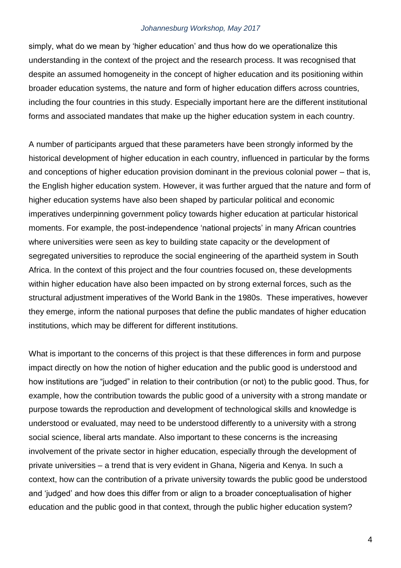simply, what do we mean by 'higher education' and thus how do we operationalize this understanding in the context of the project and the research process. It was recognised that despite an assumed homogeneity in the concept of higher education and its positioning within broader education systems, the nature and form of higher education differs across countries, including the four countries in this study. Especially important here are the different institutional forms and associated mandates that make up the higher education system in each country.

A number of participants argued that these parameters have been strongly informed by the historical development of higher education in each country, influenced in particular by the forms and conceptions of higher education provision dominant in the previous colonial power – that is, the English higher education system. However, it was further argued that the nature and form of higher education systems have also been shaped by particular political and economic imperatives underpinning government policy towards higher education at particular historical moments. For example, the post-independence 'national projects' in many African countries where universities were seen as key to building state capacity or the development of segregated universities to reproduce the social engineering of the apartheid system in South Africa. In the context of this project and the four countries focused on, these developments within higher education have also been impacted on by strong external forces, such as the structural adjustment imperatives of the World Bank in the 1980s. These imperatives, however they emerge, inform the national purposes that define the public mandates of higher education institutions, which may be different for different institutions.

What is important to the concerns of this project is that these differences in form and purpose impact directly on how the notion of higher education and the public good is understood and how institutions are "judged" in relation to their contribution (or not) to the public good. Thus, for example, how the contribution towards the public good of a university with a strong mandate or purpose towards the reproduction and development of technological skills and knowledge is understood or evaluated, may need to be understood differently to a university with a strong social science, liberal arts mandate. Also important to these concerns is the increasing involvement of the private sector in higher education, especially through the development of private universities – a trend that is very evident in Ghana, Nigeria and Kenya. In such a context, how can the contribution of a private university towards the public good be understood and 'judged' and how does this differ from or align to a broader conceptualisation of higher education and the public good in that context, through the public higher education system?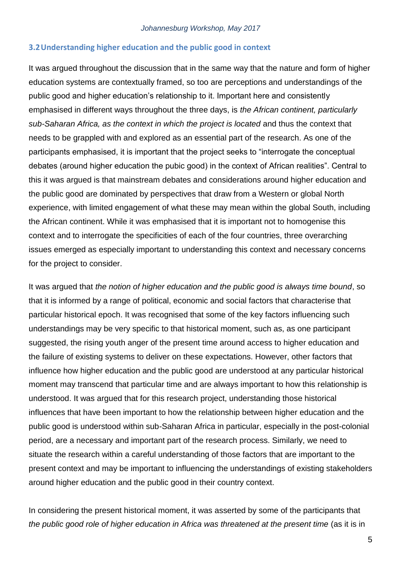#### **3.2Understanding higher education and the public good in context**

It was argued throughout the discussion that in the same way that the nature and form of higher education systems are contextually framed, so too are perceptions and understandings of the public good and higher education's relationship to it. Important here and consistently emphasised in different ways throughout the three days, is *the African continent, particularly sub-Saharan Africa, as the context in which the project is located* and thus the context that needs to be grappled with and explored as an essential part of the research. As one of the participants emphasised, it is important that the project seeks to "interrogate the conceptual debates (around higher education the pubic good) in the context of African realities". Central to this it was argued is that mainstream debates and considerations around higher education and the public good are dominated by perspectives that draw from a Western or global North experience, with limited engagement of what these may mean within the global South, including the African continent. While it was emphasised that it is important not to homogenise this context and to interrogate the specificities of each of the four countries, three overarching issues emerged as especially important to understanding this context and necessary concerns for the project to consider.

It was argued that *the notion of higher education and the public good is always time bound*, so that it is informed by a range of political, economic and social factors that characterise that particular historical epoch. It was recognised that some of the key factors influencing such understandings may be very specific to that historical moment, such as, as one participant suggested, the rising youth anger of the present time around access to higher education and the failure of existing systems to deliver on these expectations. However, other factors that influence how higher education and the public good are understood at any particular historical moment may transcend that particular time and are always important to how this relationship is understood. It was argued that for this research project, understanding those historical influences that have been important to how the relationship between higher education and the public good is understood within sub-Saharan Africa in particular, especially in the post-colonial period, are a necessary and important part of the research process. Similarly, we need to situate the research within a careful understanding of those factors that are important to the present context and may be important to influencing the understandings of existing stakeholders around higher education and the public good in their country context.

In considering the present historical moment, it was asserted by some of the participants that *the public good role of higher education in Africa was threatened at the present time (as it is in*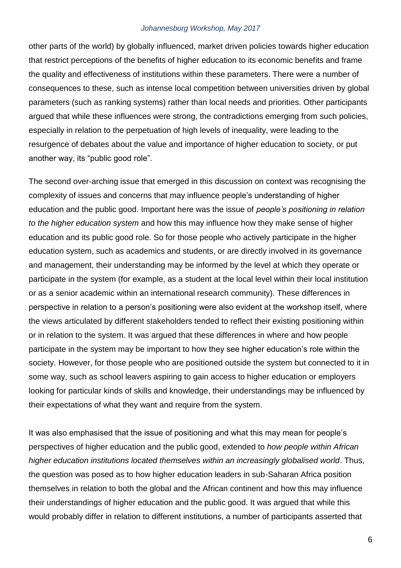other parts of the world) by globally influenced, market driven policies towards higher education that restrict perceptions of the benefits of higher education to its economic benefits and frame the quality and effectiveness of institutions within these parameters. There were a number of consequences to these, such as intense local competition between universities driven by global parameters (such as ranking systems) rather than local needs and priorities. Other participants argued that while these influences were strong, the contradictions emerging from such policies, especially in relation to the perpetuation of high levels of inequality, were leading to the resurgence of debates about the value and importance of higher education to society, or put another way, its "public good role".

The second over-arching issue that emerged in this discussion on context was recognising the complexity of issues and concerns that may influence people's understanding of higher education and the public good. Important here was the issue of *people's positioning in relation to the higher education system* and how this may influence how they make sense of higher education and its public good role. So for those people who actively participate in the higher education system, such as academics and students, or are directly involved in its governance and management, their understanding may be informed by the level at which they operate or participate in the system (for example, as a student at the local level within their local institution or as a senior academic within an international research community). These differences in perspective in relation to a person's positioning were also evident at the workshop itself, where the views articulated by different stakeholders tended to reflect their existing positioning within or in relation to the system. It was argued that these differences in where and how people participate in the system may be important to how they see higher education's role within the society. However, for those people who are positioned outside the system but connected to it in some way, such as school leavers aspiring to gain access to higher education or employers looking for particular kinds of skills and knowledge, their understandings may be influenced by their expectations of what they want and require from the system.

It was also emphasised that the issue of positioning and what this may mean for people's perspectives of higher education and the public good, extended to *how people within African higher education institutions located themselves within an increasingly globalised world*. Thus, the question was posed as to how higher education leaders in sub-Saharan Africa position themselves in relation to both the global and the African continent and how this may influence their understandings of higher education and the public good. It was argued that while this would probably differ in relation to different institutions, a number of participants asserted that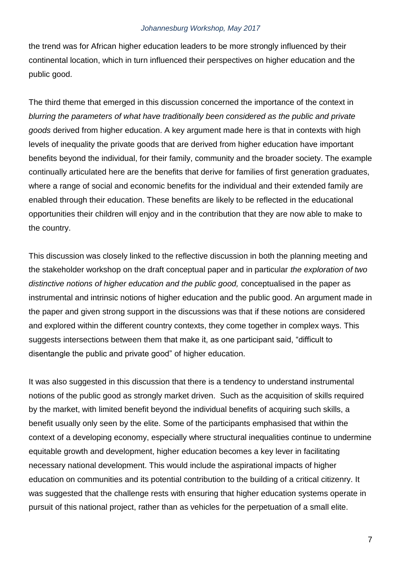the trend was for African higher education leaders to be more strongly influenced by their continental location, which in turn influenced their perspectives on higher education and the public good.

The third theme that emerged in this discussion concerned the importance of the context in *blurring the parameters of what have traditionally been considered as the public and private goods* derived from higher education. A key argument made here is that in contexts with high levels of inequality the private goods that are derived from higher education have important benefits beyond the individual, for their family, community and the broader society. The example continually articulated here are the benefits that derive for families of first generation graduates, where a range of social and economic benefits for the individual and their extended family are enabled through their education. These benefits are likely to be reflected in the educational opportunities their children will enjoy and in the contribution that they are now able to make to the country.

This discussion was closely linked to the reflective discussion in both the planning meeting and the stakeholder workshop on the draft conceptual paper and in particular *the exploration of two distinctive notions of higher education and the public good,* conceptualised in the paper as instrumental and intrinsic notions of higher education and the public good. An argument made in the paper and given strong support in the discussions was that if these notions are considered and explored within the different country contexts, they come together in complex ways. This suggests intersections between them that make it, as one participant said, "difficult to disentangle the public and private good" of higher education.

It was also suggested in this discussion that there is a tendency to understand instrumental notions of the public good as strongly market driven. Such as the acquisition of skills required by the market, with limited benefit beyond the individual benefits of acquiring such skills, a benefit usually only seen by the elite. Some of the participants emphasised that within the context of a developing economy, especially where structural inequalities continue to undermine equitable growth and development, higher education becomes a key lever in facilitating necessary national development. This would include the aspirational impacts of higher education on communities and its potential contribution to the building of a critical citizenry. It was suggested that the challenge rests with ensuring that higher education systems operate in pursuit of this national project, rather than as vehicles for the perpetuation of a small elite.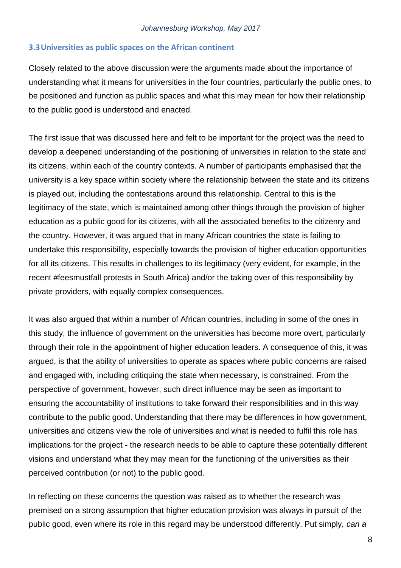### **3.3Universities as public spaces on the African continent**

Closely related to the above discussion were the arguments made about the importance of understanding what it means for universities in the four countries, particularly the public ones, to be positioned and function as public spaces and what this may mean for how their relationship to the public good is understood and enacted.

The first issue that was discussed here and felt to be important for the project was the need to develop a deepened understanding of the positioning of universities in relation to the state and its citizens, within each of the country contexts. A number of participants emphasised that the university is a key space within society where the relationship between the state and its citizens is played out, including the contestations around this relationship. Central to this is the legitimacy of the state, which is maintained among other things through the provision of higher education as a public good for its citizens, with all the associated benefits to the citizenry and the country. However, it was argued that in many African countries the state is failing to undertake this responsibility, especially towards the provision of higher education opportunities for all its citizens. This results in challenges to its legitimacy (very evident, for example, in the recent #feesmustfall protests in South Africa) and/or the taking over of this responsibility by private providers, with equally complex consequences.

It was also argued that within a number of African countries, including in some of the ones in this study, the influence of government on the universities has become more overt, particularly through their role in the appointment of higher education leaders. A consequence of this, it was argued, is that the ability of universities to operate as spaces where public concerns are raised and engaged with, including critiquing the state when necessary, is constrained. From the perspective of government, however, such direct influence may be seen as important to ensuring the accountability of institutions to take forward their responsibilities and in this way contribute to the public good. Understanding that there may be differences in how government, universities and citizens view the role of universities and what is needed to fulfil this role has implications for the project - the research needs to be able to capture these potentially different visions and understand what they may mean for the functioning of the universities as their perceived contribution (or not) to the public good.

In reflecting on these concerns the question was raised as to whether the research was premised on a strong assumption that higher education provision was always in pursuit of the public good, even where its role in this regard may be understood differently. Put simply, *can a*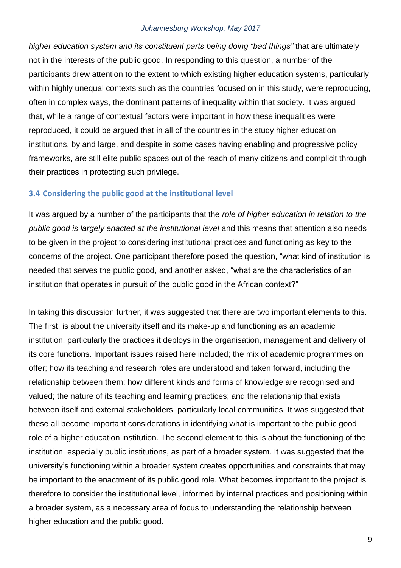*higher education system and its constituent parts being doing "bad things"* that are ultimately not in the interests of the public good. In responding to this question, a number of the participants drew attention to the extent to which existing higher education systems, particularly within highly unequal contexts such as the countries focused on in this study, were reproducing, often in complex ways, the dominant patterns of inequality within that society. It was argued that, while a range of contextual factors were important in how these inequalities were reproduced, it could be argued that in all of the countries in the study higher education institutions, by and large, and despite in some cases having enabling and progressive policy frameworks, are still elite public spaces out of the reach of many citizens and complicit through their practices in protecting such privilege.

#### **3.4 Considering the public good at the institutional level**

It was argued by a number of the participants that the *role of higher education in relation to the public good is largely enacted at the institutional level* and this means that attention also needs to be given in the project to considering institutional practices and functioning as key to the concerns of the project. One participant therefore posed the question, "what kind of institution is needed that serves the public good, and another asked, "what are the characteristics of an institution that operates in pursuit of the public good in the African context?"

In taking this discussion further, it was suggested that there are two important elements to this. The first, is about the university itself and its make-up and functioning as an academic institution, particularly the practices it deploys in the organisation, management and delivery of its core functions. Important issues raised here included; the mix of academic programmes on offer; how its teaching and research roles are understood and taken forward, including the relationship between them; how different kinds and forms of knowledge are recognised and valued; the nature of its teaching and learning practices; and the relationship that exists between itself and external stakeholders, particularly local communities. It was suggested that these all become important considerations in identifying what is important to the public good role of a higher education institution. The second element to this is about the functioning of the institution, especially public institutions, as part of a broader system. It was suggested that the university's functioning within a broader system creates opportunities and constraints that may be important to the enactment of its public good role. What becomes important to the project is therefore to consider the institutional level, informed by internal practices and positioning within a broader system, as a necessary area of focus to understanding the relationship between higher education and the public good.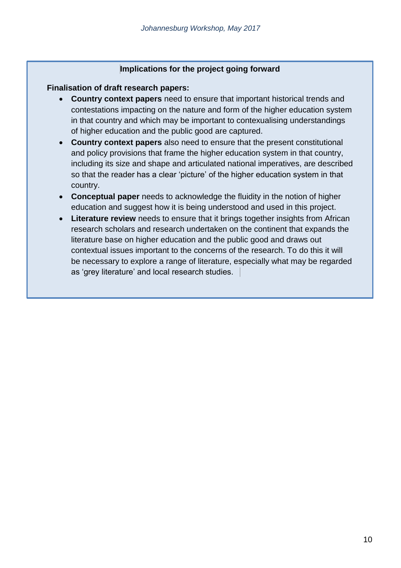### **Implications for the project going forward**

### **Finalisation of draft research papers:**

- **Country context papers** need to ensure that important historical trends and contestations impacting on the nature and form of the higher education system in that country and which may be important to contexualising understandings of higher education and the public good are captured.
- **Country context papers** also need to ensure that the present constitutional and policy provisions that frame the higher education system in that country, including its size and shape and articulated national imperatives, are described so that the reader has a clear 'picture' of the higher education system in that country.
- **Conceptual paper** needs to acknowledge the fluidity in the notion of higher education and suggest how it is being understood and used in this project.
- **Literature review** needs to ensure that it brings together insights from African research scholars and research undertaken on the continent that expands the literature base on higher education and the public good and draws out contextual issues important to the concerns of the research. To do this it will be necessary to explore a range of literature, especially what may be regarded as 'grey literature' and local research studies.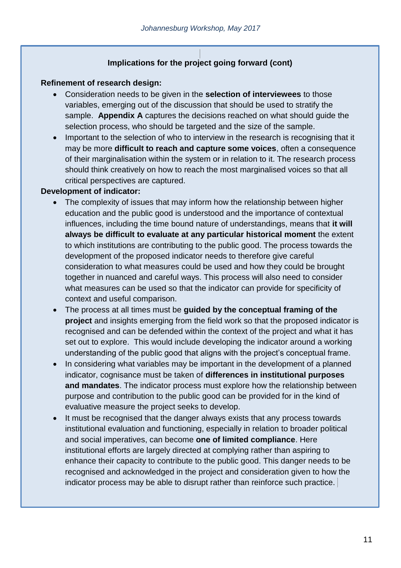## **Implications for the project going forward (cont)**

### **Refinement of research design:**

- Consideration needs to be given in the **selection of interviewees** to those variables, emerging out of the discussion that should be used to stratify the sample. **Appendix A** captures the decisions reached on what should guide the selection process, who should be targeted and the size of the sample.
- Important to the selection of who to interview in the research is recognising that it may be more **difficult to reach and capture some voices**, often a consequence of their marginalisation within the system or in relation to it. The research process should think creatively on how to reach the most marginalised voices so that all critical perspectives are captured.

### **Development of indicator:**

- The complexity of issues that may inform how the relationship between higher education and the public good is understood and the importance of contextual influences, including the time bound nature of understandings, means that **it will always be difficult to evaluate at any particular historical moment** the extent to which institutions are contributing to the public good. The process towards the development of the proposed indicator needs to therefore give careful consideration to what measures could be used and how they could be brought together in nuanced and careful ways. This process will also need to consider what measures can be used so that the indicator can provide for specificity of context and useful comparison.
- The process at all times must be **guided by the conceptual framing of the project** and insights emerging from the field work so that the proposed indicator is recognised and can be defended within the context of the project and what it has set out to explore. This would include developing the indicator around a working understanding of the public good that aligns with the project's conceptual frame.
- In considering what variables may be important in the development of a planned indicator, cognisance must be taken of **differences in institutional purposes and mandates**. The indicator process must explore how the relationship between purpose and contribution to the public good can be provided for in the kind of evaluative measure the project seeks to develop.
- It must be recognised that the danger always exists that any process towards institutional evaluation and functioning, especially in relation to broader political and social imperatives, can become **one of limited compliance**. Here institutional efforts are largely directed at complying rather than aspiring to enhance their capacity to contribute to the public good. This danger needs to be recognised and acknowledged in the project and consideration given to how the indicator process may be able to disrupt rather than reinforce such practice.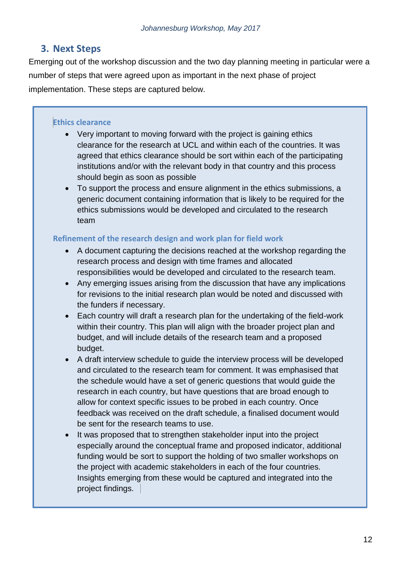# **3. Next Steps**

Emerging out of the workshop discussion and the two day planning meeting in particular were a number of steps that were agreed upon as important in the next phase of project implementation. These steps are captured below.

### **Ethics clearance**

- Very important to moving forward with the project is gaining ethics clearance for the research at UCL and within each of the countries. It was agreed that ethics clearance should be sort within each of the participating institutions and/or with the relevant body in that country and this process should begin as soon as possible
- To support the process and ensure alignment in the ethics submissions, a generic document containing information that is likely to be required for the ethics submissions would be developed and circulated to the research team

## **Refinement of the research design and work plan for field work**

- A document capturing the decisions reached at the workshop regarding the research process and design with time frames and allocated responsibilities would be developed and circulated to the research team.
- Any emerging issues arising from the discussion that have any implications for revisions to the initial research plan would be noted and discussed with the funders if necessary.
- Each country will draft a research plan for the undertaking of the field-work within their country. This plan will align with the broader project plan and budget, and will include details of the research team and a proposed budget.
- A draft interview schedule to guide the interview process will be developed and circulated to the research team for comment. It was emphasised that the schedule would have a set of generic questions that would guide the research in each country, but have questions that are broad enough to allow for context specific issues to be probed in each country. Once feedback was received on the draft schedule, a finalised document would be sent for the research teams to use.
- It was proposed that to strengthen stakeholder input into the project especially around the conceptual frame and proposed indicator, additional funding would be sort to support the holding of two smaller workshops on the project with academic stakeholders in each of the four countries. Insights emerging from these would be captured and integrated into the project findings.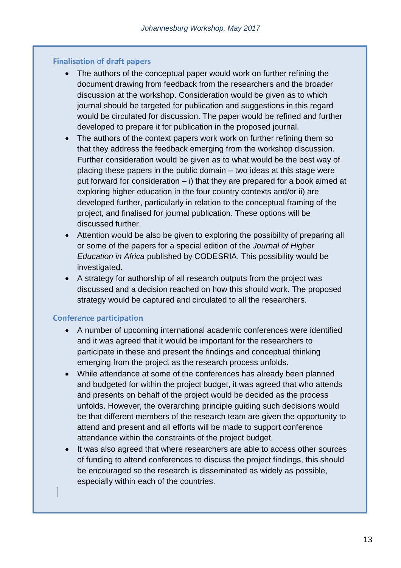### **Finalisation of draft papers**

- The authors of the conceptual paper would work on further refining the document drawing from feedback from the researchers and the broader discussion at the workshop. Consideration would be given as to which journal should be targeted for publication and suggestions in this regard would be circulated for discussion. The paper would be refined and further developed to prepare it for publication in the proposed journal.
- The authors of the context papers work work on further refining them so that they address the feedback emerging from the workshop discussion. Further consideration would be given as to what would be the best way of placing these papers in the public domain – two ideas at this stage were put forward for consideration – i) that they are prepared for a book aimed at exploring higher education in the four country contexts and/or ii) are developed further, particularly in relation to the conceptual framing of the project, and finalised for journal publication. These options will be discussed further.
- Attention would be also be given to exploring the possibility of preparing all or some of the papers for a special edition of the *Journal of Higher Education in Africa* published by CODESRIA. This possibility would be investigated.
- A strategy for authorship of all research outputs from the project was discussed and a decision reached on how this should work. The proposed strategy would be captured and circulated to all the researchers.

### **Conference participation**

- A number of upcoming international academic conferences were identified and it was agreed that it would be important for the researchers to participate in these and present the findings and conceptual thinking emerging from the project as the research process unfolds.
- While attendance at some of the conferences has already been planned and budgeted for within the project budget, it was agreed that who attends and presents on behalf of the project would be decided as the process unfolds. However, the overarching principle guiding such decisions would be that different members of the research team are given the opportunity to attend and present and all efforts will be made to support conference attendance within the constraints of the project budget.
- It was also agreed that where researchers are able to access other sources of funding to attend conferences to discuss the project findings, this should be encouraged so the research is disseminated as widely as possible, especially within each of the countries.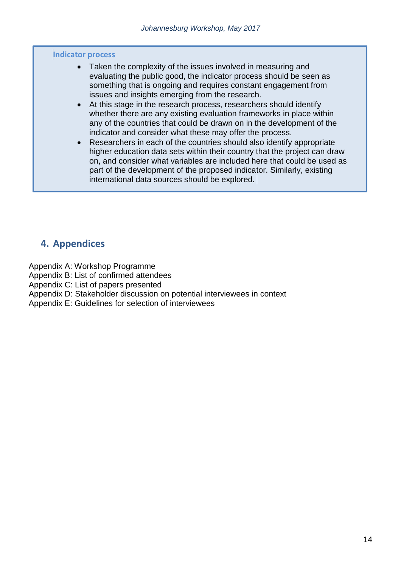#### **Indicator process**

- Taken the complexity of the issues involved in measuring and evaluating the public good, the indicator process should be seen as something that is ongoing and requires constant engagement from issues and insights emerging from the research.
- At this stage in the research process, researchers should identify whether there are any existing evaluation frameworks in place within any of the countries that could be drawn on in the development of the indicator and consider what these may offer the process.
- Researchers in each of the countries should also identify appropriate higher education data sets within their country that the project can draw on, and consider what variables are included here that could be used as part of the development of the proposed indicator. Similarly, existing international data sources should be explored.

# **4. Appendices**

Appendix A: Workshop Programme

Appendix B: List of confirmed attendees

Appendix C: List of papers presented

Appendix D: Stakeholder discussion on potential interviewees in context

Appendix E: Guidelines for selection of interviewees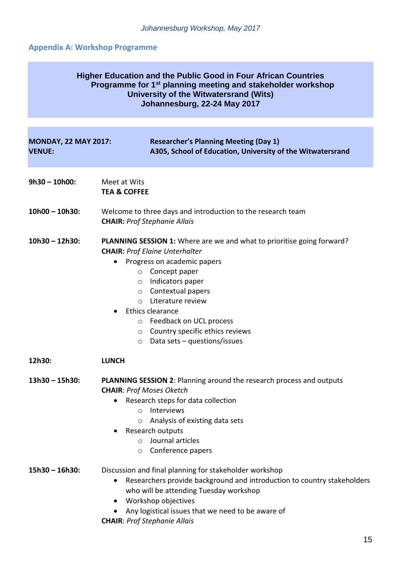# **Appendix A: Workshop Programme**

| <b>Higher Education and the Public Good in Four African Countries</b><br>Programme for 1 <sup>st</sup> planning meeting and stakeholder workshop<br>University of the Witwatersrand (Wits)<br>Johannesburg, 22-24 May 2017 |                                                                                                                                                                                                                                                                                                                                                                                                                       |  |
|----------------------------------------------------------------------------------------------------------------------------------------------------------------------------------------------------------------------------|-----------------------------------------------------------------------------------------------------------------------------------------------------------------------------------------------------------------------------------------------------------------------------------------------------------------------------------------------------------------------------------------------------------------------|--|
| <b>MONDAY, 22 MAY 2017:</b><br><b>VENUE:</b>                                                                                                                                                                               | <b>Researcher's Planning Meeting (Day 1)</b><br>A305, School of Education, University of the Witwatersrand                                                                                                                                                                                                                                                                                                            |  |
| $9h30 - 10h00$ :                                                                                                                                                                                                           | Meet at Wits<br><b>TEA &amp; COFFEE</b>                                                                                                                                                                                                                                                                                                                                                                               |  |
| $10h00 - 10h30$ :                                                                                                                                                                                                          | Welcome to three days and introduction to the research team<br><b>CHAIR: Prof Stephanie Allais</b>                                                                                                                                                                                                                                                                                                                    |  |
| $10h30 - 12h30$ :                                                                                                                                                                                                          | <b>PLANNING SESSION 1:</b> Where are we and what to prioritise going forward?<br><b>CHAIR: Prof Elaine Unterhalter</b><br>Progress on academic papers<br>Concept paper<br>$\circ$<br>Indicators paper<br>O<br>Contextual papers<br>$\circ$<br>Literature review<br>$\Omega$<br>Ethics clearance<br>Feedback on UCL process<br>$\circ$<br>o Country specific ethics reviews<br>Data sets - questions/issues<br>$\circ$ |  |
| 12h30:                                                                                                                                                                                                                     | <b>LUNCH</b>                                                                                                                                                                                                                                                                                                                                                                                                          |  |
| $13h30 - 15h30$ :                                                                                                                                                                                                          | PLANNING SESSION 2: Planning around the research process and outputs<br><b>CHAIR: Prof Moses Oketch</b><br>Research steps for data collection<br>$\bullet$<br>Interviews<br>$\circ$<br>Analysis of existing data sets<br>$\circ$<br>Research outputs<br>Journal articles<br>$\circ$<br>Conference papers<br>$\circ$                                                                                                   |  |
| $15h30 - 16h30$ :                                                                                                                                                                                                          | Discussion and final planning for stakeholder workshop<br>Researchers provide background and introduction to country stakeholders<br>$\bullet$<br>who will be attending Tuesday workshop<br>Workshop objectives<br>$\bullet$<br>Any logistical issues that we need to be aware of<br><b>CHAIR: Prof Stephanie Allais</b>                                                                                              |  |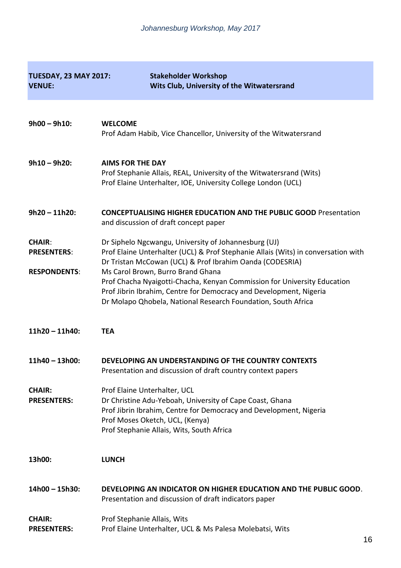| <b>TUESDAY, 23 MAY 2017:</b><br><b>VENUE:</b>              | <b>Stakeholder Workshop</b><br>Wits Club, University of the Witwatersrand                                                                                                                                                                                                                                                                                                                                                                                     |
|------------------------------------------------------------|---------------------------------------------------------------------------------------------------------------------------------------------------------------------------------------------------------------------------------------------------------------------------------------------------------------------------------------------------------------------------------------------------------------------------------------------------------------|
| $9h00 - 9h10$ :                                            | <b>WELCOME</b><br>Prof Adam Habib, Vice Chancellor, University of the Witwatersrand                                                                                                                                                                                                                                                                                                                                                                           |
| $9h10 - 9h20$ :                                            | <b>AIMS FOR THE DAY</b><br>Prof Stephanie Allais, REAL, University of the Witwatersrand (Wits)<br>Prof Elaine Unterhalter, IOE, University College London (UCL)                                                                                                                                                                                                                                                                                               |
| $9h20 - 11h20$ :                                           | <b>CONCEPTUALISING HIGHER EDUCATION AND THE PUBLIC GOOD Presentation</b><br>and discussion of draft concept paper                                                                                                                                                                                                                                                                                                                                             |
| <b>CHAIR:</b><br><b>PRESENTERS:</b><br><b>RESPONDENTS:</b> | Dr Siphelo Ngcwangu, University of Johannesburg (UJ)<br>Prof Elaine Unterhalter (UCL) & Prof Stephanie Allais (Wits) in conversation with<br>Dr Tristan McCowan (UCL) & Prof Ibrahim Oanda (CODESRIA)<br>Ms Carol Brown, Burro Brand Ghana<br>Prof Chacha Nyaigotti-Chacha, Kenyan Commission for University Education<br>Prof Jibrin Ibrahim, Centre for Democracy and Development, Nigeria<br>Dr Molapo Qhobela, National Research Foundation, South Africa |
| $11h20 - 11h40$ :                                          | <b>TEA</b>                                                                                                                                                                                                                                                                                                                                                                                                                                                    |
| 11h40 - 13h00:                                             | DEVELOPING AN UNDERSTANDING OF THE COUNTRY CONTEXTS<br>Presentation and discussion of draft country context papers                                                                                                                                                                                                                                                                                                                                            |
| <b>CHAIR:</b><br><b>PRESENTERS:</b>                        | Prof Elaine Unterhalter, UCL<br>Dr Christine Adu-Yeboah, University of Cape Coast, Ghana<br>Prof Jibrin Ibrahim, Centre for Democracy and Development, Nigeria<br>Prof Moses Oketch, UCL, (Kenya)<br>Prof Stephanie Allais, Wits, South Africa                                                                                                                                                                                                                |
| 13h00:                                                     | <b>LUNCH</b>                                                                                                                                                                                                                                                                                                                                                                                                                                                  |
| 14h00 - 15h30:                                             | DEVELOPING AN INDICATOR ON HIGHER EDUCATION AND THE PUBLIC GOOD.<br>Presentation and discussion of draft indicators paper                                                                                                                                                                                                                                                                                                                                     |
| <b>CHAIR:</b><br><b>PRESENTERS:</b>                        | Prof Stephanie Allais, Wits<br>Prof Elaine Unterhalter, UCL & Ms Palesa Molebatsi, Wits                                                                                                                                                                                                                                                                                                                                                                       |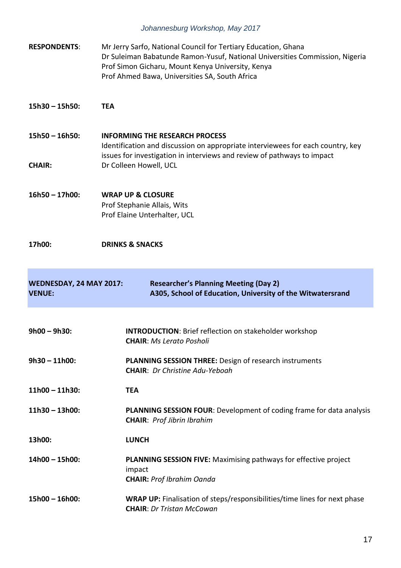| <b>RESPONDENTS:</b>                      | Mr Jerry Sarfo, National Council for Tertiary Education, Ghana<br>Dr Suleiman Babatunde Ramon-Yusuf, National Universities Commission, Nigeria<br>Prof Simon Gicharu, Mount Kenya University, Kenya<br>Prof Ahmed Bawa, Universities SA, South Africa |  |
|------------------------------------------|-------------------------------------------------------------------------------------------------------------------------------------------------------------------------------------------------------------------------------------------------------|--|
| $15h30 - 15h50$ :                        | <b>TEA</b>                                                                                                                                                                                                                                            |  |
| $15h50 - 16h50$ :<br><b>CHAIR:</b>       | <b>INFORMING THE RESEARCH PROCESS</b><br>Identification and discussion on appropriate interviewees for each country, key<br>issues for investigation in interviews and review of pathways to impact<br>Dr Colleen Howell, UCL                         |  |
| 16h50 - 17h00:                           | <b>WRAP UP &amp; CLOSURE</b><br>Prof Stephanie Allais, Wits<br>Prof Elaine Unterhalter, UCL                                                                                                                                                           |  |
| 17h00:                                   | <b>DRINKS &amp; SNACKS</b>                                                                                                                                                                                                                            |  |
| WEDNESDAY, 24 MAY 2017:<br><b>VENUE:</b> | <b>Researcher's Planning Meeting (Day 2)</b><br>A305, School of Education, University of the Witwatersrand                                                                                                                                            |  |
|                                          |                                                                                                                                                                                                                                                       |  |
| $9h00 - 9h30$ :                          | <b>INTRODUCTION:</b> Brief reflection on stakeholder workshop<br><b>CHAIR: Ms Lerato Posholi</b>                                                                                                                                                      |  |
| $9h30 - 11h00$ :                         | <b>PLANNING SESSION THREE:</b> Design of research instruments<br><b>CHAIR:</b> Dr Christine Adu-Yeboah                                                                                                                                                |  |
| $11h00 - 11h30$ :                        | <b>TEA</b>                                                                                                                                                                                                                                            |  |
| $11h30 - 13h00$ :                        | <b>PLANNING SESSION FOUR:</b> Development of coding frame for data analysis<br><b>CHAIR: Prof Jibrin Ibrahim</b>                                                                                                                                      |  |
| 13h00:                                   | <b>LUNCH</b>                                                                                                                                                                                                                                          |  |
| 14h00 - 15h00:                           | <b>PLANNING SESSION FIVE:</b> Maximising pathways for effective project<br>impact<br><b>CHAIR: Prof Ibrahim Oanda</b>                                                                                                                                 |  |
| 15h00 - 16h00:                           | WRAP UP: Finalisation of steps/responsibilities/time lines for next phase<br><b>CHAIR: Dr Tristan McCowan</b>                                                                                                                                         |  |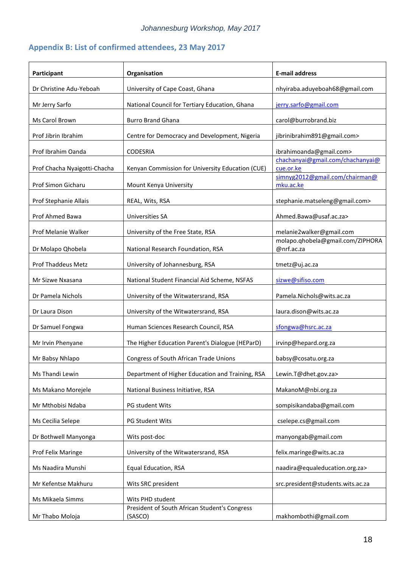# **Appendix B: List of confirmed attendees, 23 May 2017**

| Participant                  | Organisation                                             | <b>E-mail address</b>                          |
|------------------------------|----------------------------------------------------------|------------------------------------------------|
| Dr Christine Adu-Yeboah      | University of Cape Coast, Ghana                          | nhyiraba.aduyeboah68@gmail.com                 |
| Mr Jerry Sarfo               | National Council for Tertiary Education, Ghana           | jerry.sarfo@gmail.com                          |
| Ms Carol Brown               | <b>Burro Brand Ghana</b>                                 | carol@burrobrand.biz                           |
| Prof Jibrin Ibrahim          | Centre for Democracy and Development, Nigeria            | jibrinibrahim891@gmail.com>                    |
| Prof Ibrahim Oanda           | <b>CODESRIA</b>                                          | ibrahimoanda@gmail.com>                        |
| Prof Chacha Nyaigotti-Chacha | Kenyan Commission for University Education (CUE)         | chachanyai@gmail.com/chachanyai@<br>cue.or.ke  |
| Prof Simon Gicharu           | Mount Kenya University                                   | simnyg2012@gmail.com/chairman@<br>mku.ac.ke    |
| Prof Stephanie Allais        | REAL, Wits, RSA                                          | stephanie.matseleng@gmail.com>                 |
| Prof Ahmed Bawa              | Universities SA                                          | Ahmed.Bawa@usaf.ac.za>                         |
| Prof Melanie Walker          | University of the Free State, RSA                        | melanie2walker@gmail.com                       |
| Dr Molapo Qhobela            | National Research Foundation, RSA                        | molapo.qhobela@gmail.com/ZIPHORA<br>@nrf.ac.za |
| Prof Thaddeus Metz           | University of Johannesburg, RSA                          | tmetz@uj.ac.za                                 |
| Mr Sizwe Nxasana             | National Student Financial Aid Scheme, NSFAS             | sizwe@sifiso.com                               |
| Dr Pamela Nichols            | University of the Witwatersrand, RSA                     | Pamela.Nichols@wits.ac.za                      |
| Dr Laura Dison               | University of the Witwatersrand, RSA                     | laura.dison@wits.ac.za                         |
| Dr Samuel Fongwa             | Human Sciences Research Council, RSA                     | sfongwa@hsrc.ac.za                             |
| Mr Irvin Phenyane            | The Higher Education Parent's Dialogue (HEParD)          | irvinp@hepard.org.za                           |
| Mr Babsy Nhlapo              | Congress of South African Trade Unions                   | babsy@cosatu.org.za                            |
| Ms Thandi Lewin              | Department of Higher Education and Training, RSA         | Lewin.T@dhet.gov.za>                           |
| Ms Makano Morejele           | National Business Initiative, RSA                        | MakanoM@nbi.org.za                             |
| Mr Mthobisi Ndaba            | PG student Wits                                          | sompisikandaba@gmail.com                       |
| Ms Cecilia Selepe            | PG Student Wits                                          | cselepe.cs@gmail.com                           |
| Dr Bothwell Manyonga         | Wits post-doc                                            | manyongab@gmail.com                            |
| Prof Felix Maringe           | University of the Witwatersrand, RSA                     | felix.maringe@wits.ac.za                       |
| Ms Naadira Munshi            | <b>Equal Education, RSA</b>                              | naadira@equaleducation.org.za>                 |
| Mr Kefentse Makhuru          | Wits SRC president                                       | src.president@students.wits.ac.za              |
| Ms Mikaela Simms             | Wits PHD student                                         |                                                |
| Mr Thabo Moloja              | President of South African Student's Congress<br>(SASCO) | makhombothi@gmail.com                          |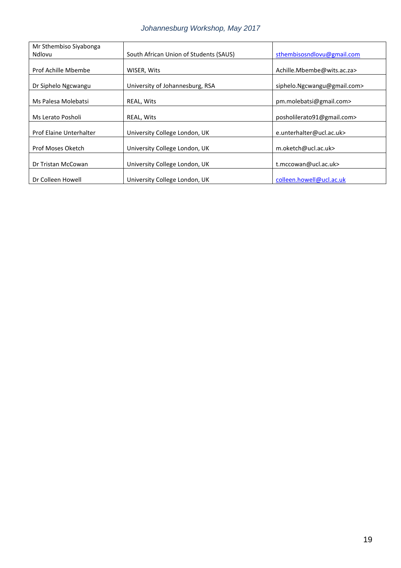| Mr Sthembiso Siyabonga         |                                        |                             |
|--------------------------------|----------------------------------------|-----------------------------|
| Ndlovu                         | South African Union of Students (SAUS) | sthembisosndlovu@gmail.com  |
|                                |                                        |                             |
| Prof Achille Mbembe            | WISER, Wits                            | Achille.Mbembe@wits.ac.za>  |
|                                |                                        |                             |
| Dr Siphelo Ngcwangu            | University of Johannesburg, RSA        | siphelo.Ngcwangu@gmail.com> |
|                                |                                        |                             |
| Ms Palesa Molebatsi            | REAL, Wits                             | pm.molebatsi@gmail.com>     |
|                                |                                        |                             |
| Ms Lerato Posholi              | REAL, Wits                             | posholilerato91@gmail.com>  |
|                                |                                        |                             |
| <b>Prof Elaine Unterhalter</b> | University College London, UK          | e.unterhalter@ucl.ac.uk>    |
|                                |                                        |                             |
| Prof Moses Oketch              | University College London, UK          | m.oketch@ucl.ac.uk>         |
|                                |                                        |                             |
| Dr Tristan McCowan             | University College London, UK          | t.mccowan@ucl.ac.uk>        |
|                                |                                        |                             |
| Dr Colleen Howell              | University College London, UK          | colleen.howell@ucl.ac.uk    |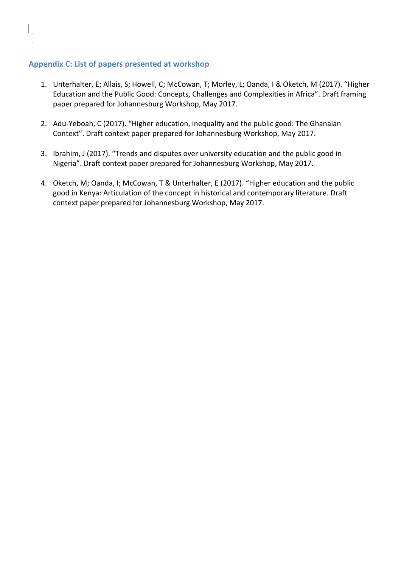### **Appendix C: List of papers presented at workshop**

- 1. Unterhalter, E; Allais, S; Howell, C; McCowan, T; Morley, L; Oanda, I & Oketch, M (2017). "Higher Education and the Public Good: Concepts, Challenges and Complexities in Africa". Draft framing paper prepared for Johannesburg Workshop, May 2017.
- 2. Adu-Yeboah, C (2017). "Higher education, inequality and the public good: The Ghanaian Context". Draft context paper prepared for Johannesburg Workshop, May 2017.
- 3. Ibrahim, J (2017). "Trends and disputes over university education and the public good in Nigeria". Draft context paper prepared for Johannesburg Workshop, May 2017.
- 4. Oketch, M; Oanda, I; McCowan, T & Unterhalter, E (2017). "Higher education and the public good in Kenya: Articulation of the concept in historical and contemporary literature. Draft context paper prepared for Johannesburg Workshop, May 2017.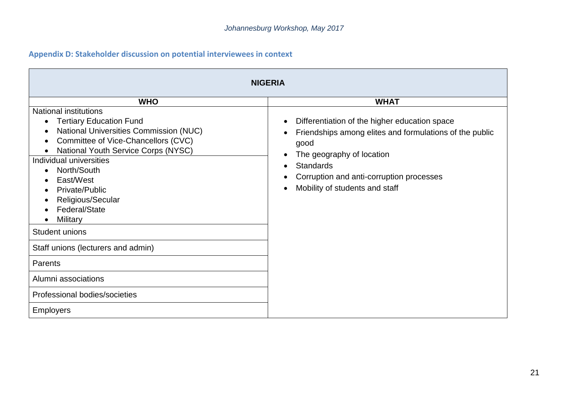# **Appendix D: Stakeholder discussion on potential interviewees in context**

| <b>NIGERIA</b>                                                                                                                                                                                                                                                                                                                        |                                                                                                                                                                                                                                                 |  |
|---------------------------------------------------------------------------------------------------------------------------------------------------------------------------------------------------------------------------------------------------------------------------------------------------------------------------------------|-------------------------------------------------------------------------------------------------------------------------------------------------------------------------------------------------------------------------------------------------|--|
| <b>WHO</b>                                                                                                                                                                                                                                                                                                                            | <b>WHAT</b>                                                                                                                                                                                                                                     |  |
| <b>National institutions</b><br><b>Tertiary Education Fund</b><br><b>National Universities Commission (NUC)</b><br>Committee of Vice-Chancellors (CVC)<br>National Youth Service Corps (NYSC)<br>Individual universities<br>North/South<br>$\bullet$<br>East/West<br>Private/Public<br>Religious/Secular<br>Federal/State<br>Military | Differentiation of the higher education space<br>Friendships among elites and formulations of the public<br>good<br>The geography of location<br><b>Standards</b><br>Corruption and anti-corruption processes<br>Mobility of students and staff |  |
| Student unions                                                                                                                                                                                                                                                                                                                        |                                                                                                                                                                                                                                                 |  |
| Staff unions (lecturers and admin)                                                                                                                                                                                                                                                                                                    |                                                                                                                                                                                                                                                 |  |
| Parents                                                                                                                                                                                                                                                                                                                               |                                                                                                                                                                                                                                                 |  |
| Alumni associations                                                                                                                                                                                                                                                                                                                   |                                                                                                                                                                                                                                                 |  |
| Professional bodies/societies                                                                                                                                                                                                                                                                                                         |                                                                                                                                                                                                                                                 |  |
| <b>Employers</b>                                                                                                                                                                                                                                                                                                                      |                                                                                                                                                                                                                                                 |  |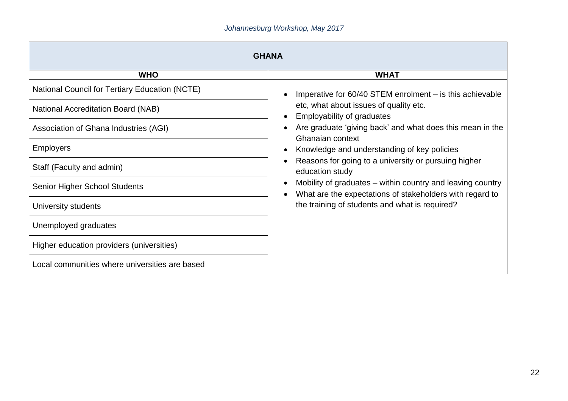| <b>GHANA</b>                                          |                                                                                                                        |  |
|-------------------------------------------------------|------------------------------------------------------------------------------------------------------------------------|--|
| <b>WHO</b>                                            | <b>WHAT</b>                                                                                                            |  |
| <b>National Council for Tertiary Education (NCTE)</b> | Imperative for $60/40$ STEM enrolment $-$ is this achievable                                                           |  |
| <b>National Accreditation Board (NAB)</b>             | etc, what about issues of quality etc.<br><b>Employability of graduates</b>                                            |  |
| Association of Ghana Industries (AGI)                 | Are graduate 'giving back' and what does this mean in the<br>Ghanaian context                                          |  |
| <b>Employers</b>                                      | Knowledge and understanding of key policies                                                                            |  |
| Staff (Faculty and admin)                             | Reasons for going to a university or pursuing higher<br>education study                                                |  |
| <b>Senior Higher School Students</b>                  | Mobility of graduates – within country and leaving country<br>What are the expectations of stakeholders with regard to |  |
| University students                                   | the training of students and what is required?                                                                         |  |
| Unemployed graduates                                  |                                                                                                                        |  |
| Higher education providers (universities)             |                                                                                                                        |  |
| Local communities where universities are based        |                                                                                                                        |  |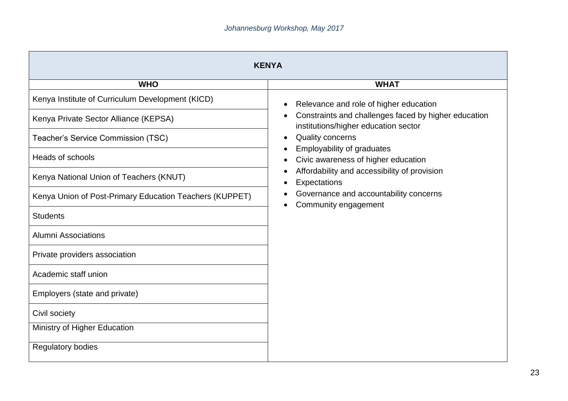| <b>KENYA</b>                                            |                                                                                              |  |
|---------------------------------------------------------|----------------------------------------------------------------------------------------------|--|
| <b>WHO</b>                                              | <b>WHAT</b>                                                                                  |  |
| Kenya Institute of Curriculum Development (KICD)        | Relevance and role of higher education                                                       |  |
| Kenya Private Sector Alliance (KEPSA)                   | Constraints and challenges faced by higher education<br>institutions/higher education sector |  |
| Teacher's Service Commission (TSC)                      | <b>Quality concerns</b>                                                                      |  |
| <b>Heads of schools</b>                                 | Employability of graduates<br>Civic awareness of higher education                            |  |
| Kenya National Union of Teachers (KNUT)                 | Affordability and accessibility of provision<br>Expectations                                 |  |
| Kenya Union of Post-Primary Education Teachers (KUPPET) | Governance and accountability concerns<br>Community engagement                               |  |
| <b>Students</b>                                         |                                                                                              |  |
| <b>Alumni Associations</b>                              |                                                                                              |  |
| Private providers association                           |                                                                                              |  |
| Academic staff union                                    |                                                                                              |  |
| Employers (state and private)                           |                                                                                              |  |
| Civil society                                           |                                                                                              |  |
| Ministry of Higher Education                            |                                                                                              |  |
| <b>Regulatory bodies</b>                                |                                                                                              |  |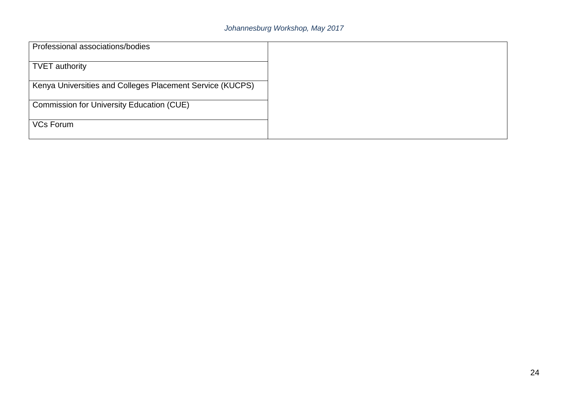| Professional associations/bodies                          |  |
|-----------------------------------------------------------|--|
| <b>TVET</b> authority                                     |  |
| Kenya Universities and Colleges Placement Service (KUCPS) |  |
| <b>Commission for University Education (CUE)</b>          |  |
| <b>VCs Forum</b>                                          |  |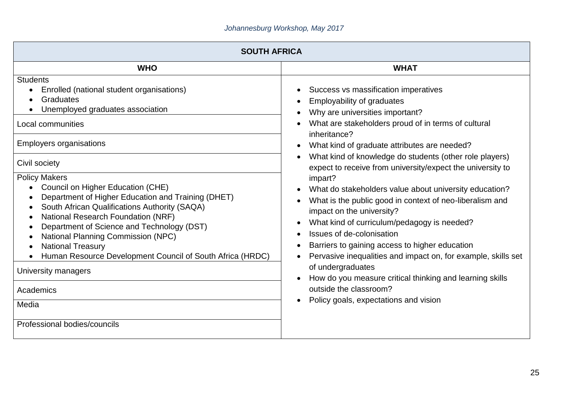| <b>SOUTH AFRICA</b>                                                                                                                                                                                                                                                                                                                                                                                                                                  |                                                                                                                                                                                                                                                                                                                                                                                                                                                                                                                                                      |  |
|------------------------------------------------------------------------------------------------------------------------------------------------------------------------------------------------------------------------------------------------------------------------------------------------------------------------------------------------------------------------------------------------------------------------------------------------------|------------------------------------------------------------------------------------------------------------------------------------------------------------------------------------------------------------------------------------------------------------------------------------------------------------------------------------------------------------------------------------------------------------------------------------------------------------------------------------------------------------------------------------------------------|--|
| <b>WHO</b>                                                                                                                                                                                                                                                                                                                                                                                                                                           | <b>WHAT</b>                                                                                                                                                                                                                                                                                                                                                                                                                                                                                                                                          |  |
| <b>Students</b><br>Enrolled (national student organisations)<br>Graduates<br>Unemployed graduates association                                                                                                                                                                                                                                                                                                                                        | Success vs massification imperatives<br>$\bullet$<br><b>Employability of graduates</b><br>Why are universities important?                                                                                                                                                                                                                                                                                                                                                                                                                            |  |
| Local communities<br><b>Employers organisations</b>                                                                                                                                                                                                                                                                                                                                                                                                  | What are stakeholders proud of in terms of cultural<br>$\bullet$<br>inheritance?<br>What kind of graduate attributes are needed?                                                                                                                                                                                                                                                                                                                                                                                                                     |  |
| Civil society                                                                                                                                                                                                                                                                                                                                                                                                                                        | What kind of knowledge do students (other role players)<br>expect to receive from university/expect the university to                                                                                                                                                                                                                                                                                                                                                                                                                                |  |
| <b>Policy Makers</b><br>Council on Higher Education (CHE)<br>Department of Higher Education and Training (DHET)<br>South African Qualifications Authority (SAQA)<br>National Research Foundation (NRF)<br>$\bullet$<br>Department of Science and Technology (DST)<br><b>National Planning Commission (NPC)</b><br><b>National Treasury</b><br>Human Resource Development Council of South Africa (HRDC)<br>University managers<br>Academics<br>Media | impart?<br>What do stakeholders value about university education?<br>What is the public good in context of neo-liberalism and<br>$\bullet$<br>impact on the university?<br>What kind of curriculum/pedagogy is needed?<br>$\bullet$<br>Issues of de-colonisation<br>$\bullet$<br>Barriers to gaining access to higher education<br>Pervasive inequalities and impact on, for example, skills set<br>of undergraduates<br>How do you measure critical thinking and learning skills<br>outside the classroom?<br>Policy goals, expectations and vision |  |
| Professional bodies/councils                                                                                                                                                                                                                                                                                                                                                                                                                         |                                                                                                                                                                                                                                                                                                                                                                                                                                                                                                                                                      |  |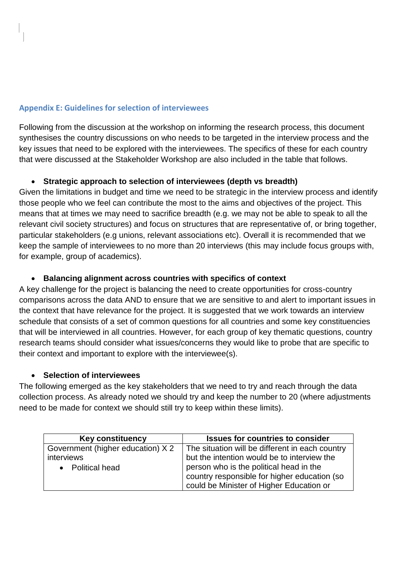### **Appendix E: Guidelines for selection of interviewees**

Following from the discussion at the workshop on informing the research process, this document synthesises the country discussions on who needs to be targeted in the interview process and the key issues that need to be explored with the interviewees. The specifics of these for each country that were discussed at the Stakeholder Workshop are also included in the table that follows.

## **Strategic approach to selection of interviewees (depth vs breadth)**

Given the limitations in budget and time we need to be strategic in the interview process and identify those people who we feel can contribute the most to the aims and objectives of the project. This means that at times we may need to sacrifice breadth (e.g. we may not be able to speak to all the relevant civil society structures) and focus on structures that are representative of, or bring together, particular stakeholders (e.g unions, relevant associations etc). Overall it is recommended that we keep the sample of interviewees to no more than 20 interviews (this may include focus groups with, for example, group of academics).

### **Balancing alignment across countries with specifics of context**

A key challenge for the project is balancing the need to create opportunities for cross-country comparisons across the data AND to ensure that we are sensitive to and alert to important issues in the context that have relevance for the project. It is suggested that we work towards an interview schedule that consists of a set of common questions for all countries and some key constituencies that will be interviewed in all countries. However, for each group of key thematic questions, country research teams should consider what issues/concerns they would like to probe that are specific to their context and important to explore with the interviewee(s).

### **Selection of interviewees**

The following emerged as the key stakeholders that we need to try and reach through the data collection process. As already noted we should try and keep the number to 20 (where adjustments need to be made for context we should still try to keep within these limits).

| <b>Key constituency</b>           | <b>Issues for countries to consider</b>         |
|-----------------------------------|-------------------------------------------------|
| Government (higher education) X 2 | The situation will be different in each country |
| interviews                        | but the intention would be to interview the     |
| • Political head                  | person who is the political head in the         |
|                                   | country responsible for higher education (so    |
|                                   | could be Minister of Higher Education or        |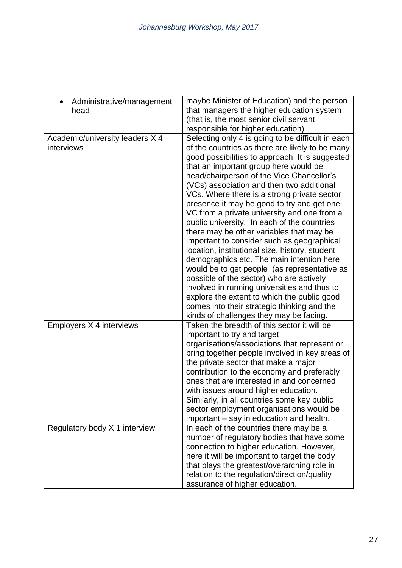| Administrative/management                     | maybe Minister of Education) and the person                                                          |
|-----------------------------------------------|------------------------------------------------------------------------------------------------------|
| head                                          | that managers the higher education system                                                            |
|                                               | (that is, the most senior civil servant                                                              |
|                                               | responsible for higher education)                                                                    |
| Academic/university leaders X 4<br>interviews | Selecting only 4 is going to be difficult in each<br>of the countries as there are likely to be many |
|                                               | good possibilities to approach. It is suggested                                                      |
|                                               | that an important group here would be                                                                |
|                                               | head/chairperson of the Vice Chancellor's                                                            |
|                                               | (VCs) association and then two additional                                                            |
|                                               | VCs. Where there is a strong private sector                                                          |
|                                               | presence it may be good to try and get one                                                           |
|                                               | VC from a private university and one from a                                                          |
|                                               | public university. In each of the countries                                                          |
|                                               | there may be other variables that may be                                                             |
|                                               | important to consider such as geographical                                                           |
|                                               | location, institutional size, history, student                                                       |
|                                               | demographics etc. The main intention here                                                            |
|                                               | would be to get people (as representative as                                                         |
|                                               | possible of the sector) who are actively                                                             |
|                                               | involved in running universities and thus to                                                         |
|                                               | explore the extent to which the public good                                                          |
|                                               | comes into their strategic thinking and the                                                          |
|                                               | kinds of challenges they may be facing.                                                              |
| Employers X 4 interviews                      | Taken the breadth of this sector it will be                                                          |
|                                               | important to try and target<br>organisations/associations that represent or                          |
|                                               | bring together people involved in key areas of                                                       |
|                                               | the private sector that make a major                                                                 |
|                                               | contribution to the economy and preferably                                                           |
|                                               | ones that are interested in and concerned                                                            |
|                                               | with issues around higher education.                                                                 |
|                                               | Similarly, in all countries some key public                                                          |
|                                               | sector employment organisations would be                                                             |
|                                               | important – say in education and health.                                                             |
| Regulatory body X 1 interview                 | In each of the countries there may be a                                                              |
|                                               | number of regulatory bodies that have some                                                           |
|                                               | connection to higher education. However,                                                             |
|                                               | here it will be important to target the body                                                         |
|                                               | that plays the greatest/overarching role in                                                          |
|                                               | relation to the regulation/direction/quality                                                         |
|                                               | assurance of higher education.                                                                       |